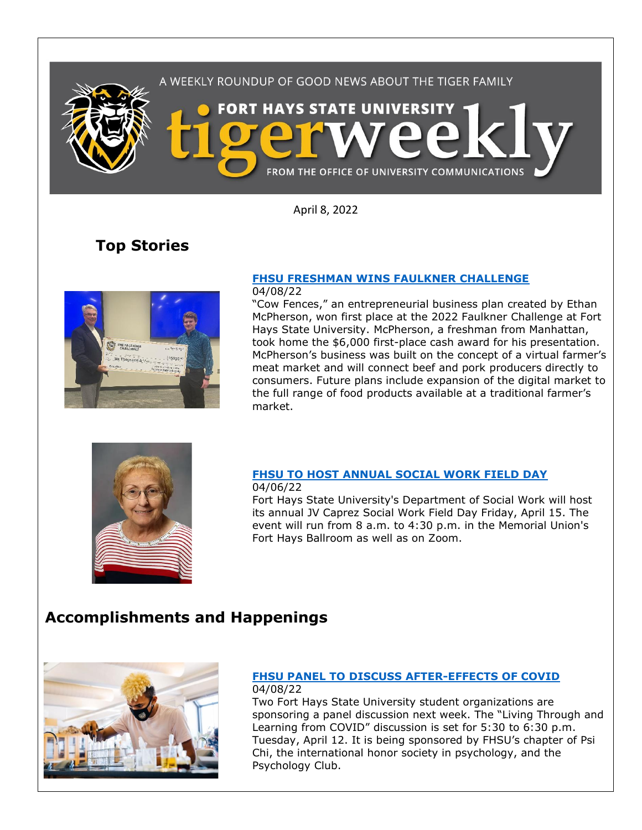

April 8, 2022

# **Top Stories**



# **[FHSU FRESHMAN WINS FAULKNER CHALLENGE](https://www.fhsu.edu/news/2022/04/fhsu-freshman-wins-faulkner-challenge)**

04/08/22

"Cow Fences," an entrepreneurial business plan created by Ethan McPherson, won first place at the 2022 Faulkner Challenge at Fort Hays State University. McPherson, a freshman from Manhattan, took home the \$6,000 first-place cash award for his presentation. McPherson's business was built on the concept of a virtual farmer's meat market and will connect beef and pork producers directly to consumers. Future plans include expansion of the digital market to the full range of food products available at a traditional farmer's market.



#### **[FHSU TO HOST ANNUAL SOCIAL WORK FIELD DAY](https://www.fhsu.edu/news/2022/04/fhsu-to-host-annual-social-work-field-day)** 04/06/22

Fort Hays State University's Department of Social Work will host its annual JV Caprez Social Work Field Day Friday, April 15. The event will run from 8 a.m. to 4:30 p.m. in the Memorial Union's Fort Hays Ballroom as well as on Zoom.

## **Accomplishments and Happenings**



#### **[FHSU PANEL TO DISCUSS AFTER-EFFECTS OF COVID](https://www.fhsu.edu/news/2022/04/fhsu-panel-to-discuss-after-effects-of-covid)** 04/08/22

Two Fort Hays State University student organizations are sponsoring a panel discussion next week. The "Living Through and Learning from COVID" discussion is set for 5:30 to 6:30 p.m. Tuesday, April 12. It is being sponsored by FHSU's chapter of Psi Chi, the international honor society in psychology, and the Psychology Club.